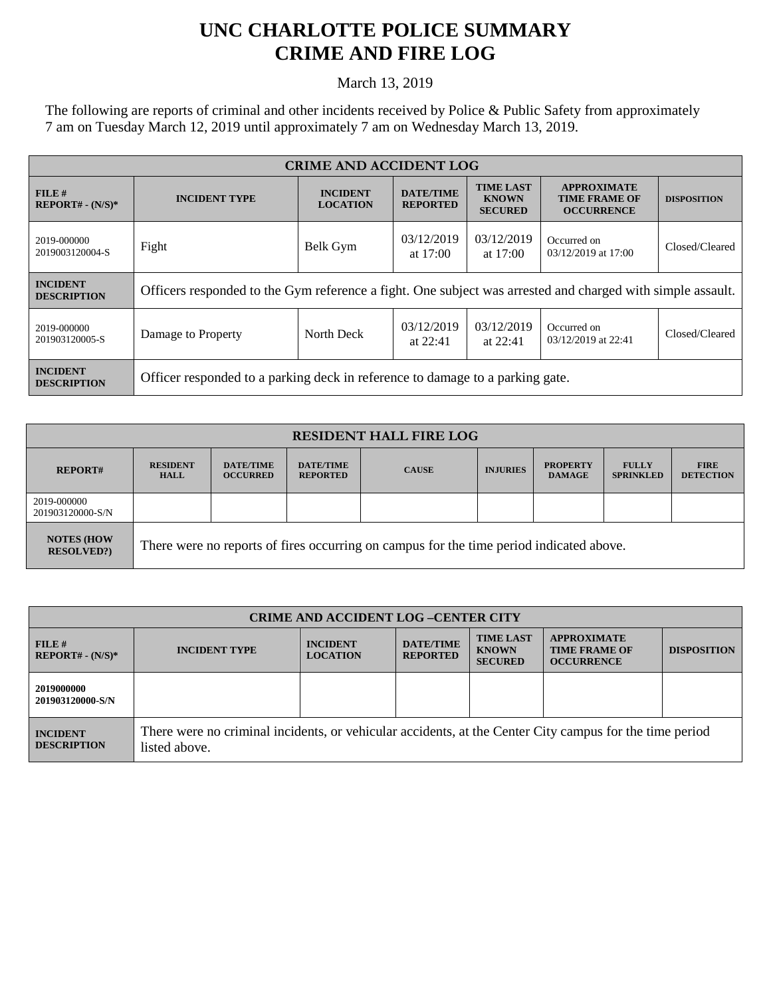## **UNC CHARLOTTE POLICE SUMMARY CRIME AND FIRE LOG**

March 13, 2019

The following are reports of criminal and other incidents received by Police & Public Safety from approximately 7 am on Tuesday March 12, 2019 until approximately 7 am on Wednesday March 13, 2019.

| <b>CRIME AND ACCIDENT LOG</b>         |                                                                                                            |                                    |                                     |                                                    |                                                                 |                    |  |
|---------------------------------------|------------------------------------------------------------------------------------------------------------|------------------------------------|-------------------------------------|----------------------------------------------------|-----------------------------------------------------------------|--------------------|--|
| FILE H<br>$REPORT# - (N/S)*$          | <b>INCIDENT TYPE</b>                                                                                       | <b>INCIDENT</b><br><b>LOCATION</b> | <b>DATE/TIME</b><br><b>REPORTED</b> | <b>TIME LAST</b><br><b>KNOWN</b><br><b>SECURED</b> | <b>APPROXIMATE</b><br><b>TIME FRAME OF</b><br><b>OCCURRENCE</b> | <b>DISPOSITION</b> |  |
| 2019-000000<br>2019003120004-S        | Fight                                                                                                      | Belk Gym                           | 03/12/2019<br>at $17:00$            | 03/12/2019<br>at $17:00$                           | Occurred on<br>03/12/2019 at 17:00                              | Closed/Cleared     |  |
| <b>INCIDENT</b><br><b>DESCRIPTION</b> | Officers responded to the Gym reference a fight. One subject was arrested and charged with simple assault. |                                    |                                     |                                                    |                                                                 |                    |  |
| 2019-000000<br>201903120005-S         | Damage to Property                                                                                         | North Deck                         | 03/12/2019<br>at $22:41$            | 03/12/2019<br>at $22:41$                           | Occurred on<br>03/12/2019 at 22:41                              | Closed/Cleared     |  |
| <b>INCIDENT</b><br><b>DESCRIPTION</b> | Officer responded to a parking deck in reference to damage to a parking gate.                              |                                    |                                     |                                                    |                                                                 |                    |  |

| <b>RESIDENT HALL FIRE LOG</b>         |                                                                                         |                                     |                                     |              |                 |                                  |                                  |                                 |
|---------------------------------------|-----------------------------------------------------------------------------------------|-------------------------------------|-------------------------------------|--------------|-----------------|----------------------------------|----------------------------------|---------------------------------|
| <b>REPORT#</b>                        | <b>RESIDENT</b><br><b>HALL</b>                                                          | <b>DATE/TIME</b><br><b>OCCURRED</b> | <b>DATE/TIME</b><br><b>REPORTED</b> | <b>CAUSE</b> | <b>INJURIES</b> | <b>PROPERTY</b><br><b>DAMAGE</b> | <b>FULLY</b><br><b>SPRINKLED</b> | <b>FIRE</b><br><b>DETECTION</b> |
| 2019-000000<br>201903120000-S/N       |                                                                                         |                                     |                                     |              |                 |                                  |                                  |                                 |
| <b>NOTES (HOW</b><br><b>RESOLVED?</b> | There were no reports of fires occurring on campus for the time period indicated above. |                                     |                                     |              |                 |                                  |                                  |                                 |

| <b>CRIME AND ACCIDENT LOG-CENTER CITY</b> |                                                                                                                          |                                    |                                     |                                                    |                                                                 |                    |
|-------------------------------------------|--------------------------------------------------------------------------------------------------------------------------|------------------------------------|-------------------------------------|----------------------------------------------------|-----------------------------------------------------------------|--------------------|
| FILE#<br>$REPORT# - (N/S)*$               | <b>INCIDENT TYPE</b>                                                                                                     | <b>INCIDENT</b><br><b>LOCATION</b> | <b>DATE/TIME</b><br><b>REPORTED</b> | <b>TIME LAST</b><br><b>KNOWN</b><br><b>SECURED</b> | <b>APPROXIMATE</b><br><b>TIME FRAME OF</b><br><b>OCCURRENCE</b> | <b>DISPOSITION</b> |
| 2019000000<br>201903120000-S/N            |                                                                                                                          |                                    |                                     |                                                    |                                                                 |                    |
| <b>INCIDENT</b><br><b>DESCRIPTION</b>     | There were no criminal incidents, or vehicular accidents, at the Center City campus for the time period<br>listed above. |                                    |                                     |                                                    |                                                                 |                    |